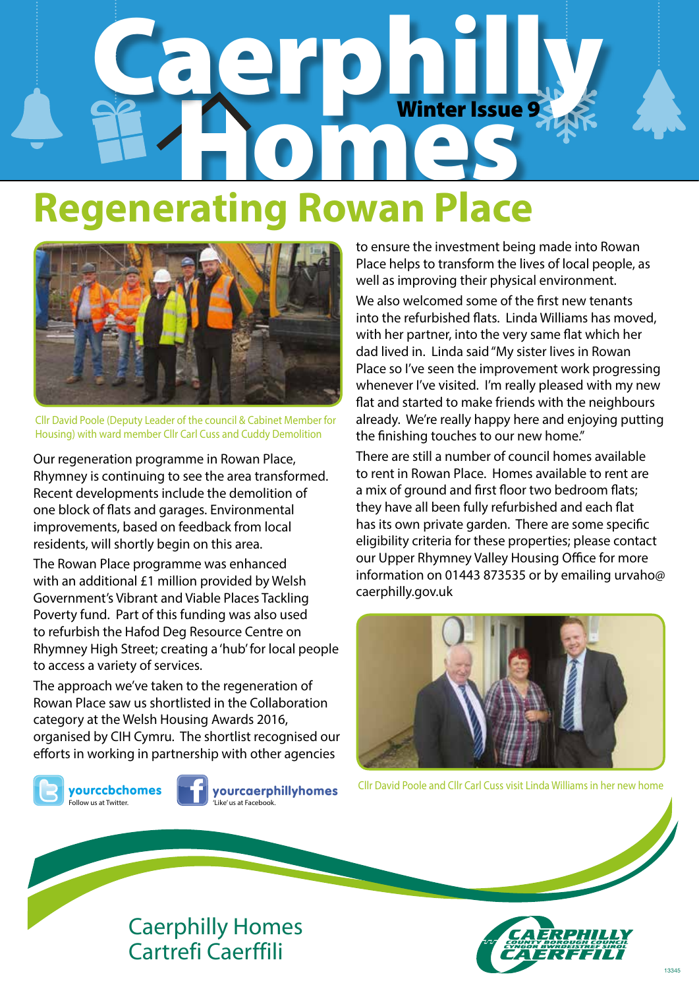# Caerphilly Winter Issue **Regenerating Rowan Place** Winter Issue 9



Cllr David Poole (Deputy Leader of the council & Cabinet Member for Housing) with ward member Cllr Carl Cuss and Cuddy Demolition

Our regeneration programme in Rowan Place, Rhymney is continuing to see the area transformed. Recent developments include the demolition of one block of flats and garages. Environmental improvements, based on feedback from local residents, will shortly begin on this area.

The Rowan Place programme was enhanced with an additional £1 million provided by Welsh Government's Vibrant and Viable Places Tackling Poverty fund. Part of this funding was also used to refurbish the Hafod Deg Resource Centre on Rhymney High Street; creating a 'hub' for local people to access a variety of services.

The approach we've taken to the regeneration of Rowan Place saw us shortlisted in the Collaboration category at the Welsh Housing Awards 2016, organised by CIH Cymru. The shortlist recognised our efforts in working in partnership with other agencies



yourccbchomes **.**<br>Follow us at Twitter.



yourcaerphillyhomes 'Like' us at Facebook.

to ensure the investment being made into Rowan Place helps to transform the lives of local people, as well as improving their physical environment.

We also welcomed some of the first new tenants into the refurbished flats. Linda Williams has moved, with her partner, into the very same flat which her dad lived in. Linda said "My sister lives in Rowan Place so I've seen the improvement work progressing whenever I've visited. I'm really pleased with my new flat and started to make friends with the neighbours already. We're really happy here and enjoying putting the finishing touches to our new home."

There are still a number of council homes available to rent in Rowan Place. Homes available to rent are a mix of ground and first floor two bedroom flats; they have all been fully refurbished and each flat has its own private garden. There are some specific eligibility criteria for these properties; please contact our Upper Rhymney Valley Housing Office for more information on 01443 873535 or by emailing urvaho@ caerphilly.gov.uk



Cllr David Poole and Cllr Carl Cuss visit Linda Williams in her new home



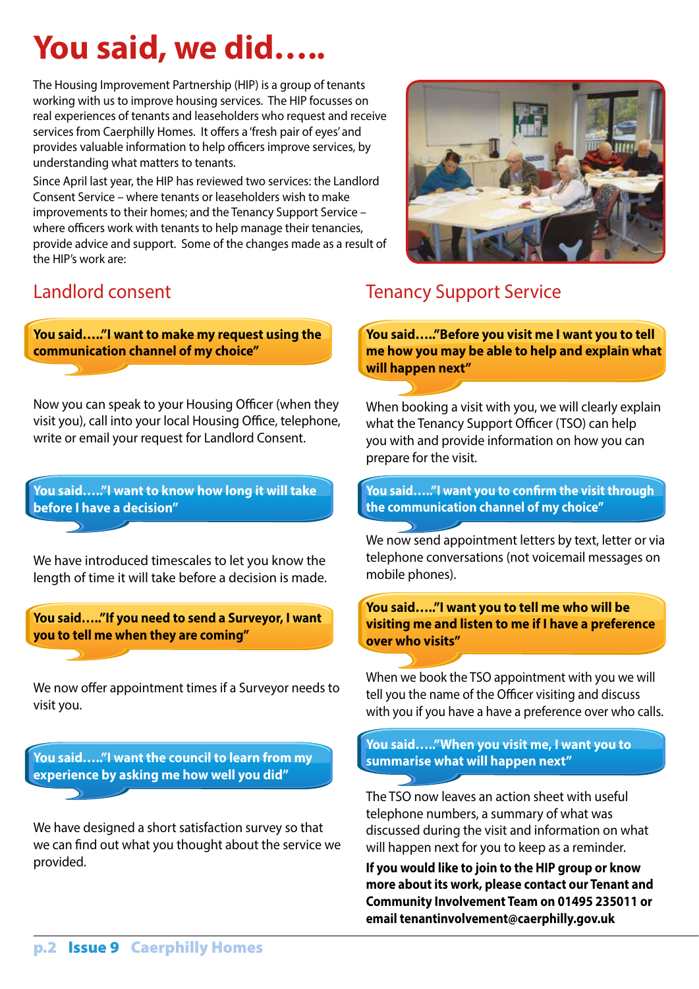# **You said, we did…..**

The Housing Improvement Partnership (HIP) is a group of tenants working with us to improve housing services. The HIP focusses on real experiences of tenants and leaseholders who request and receive services from Caerphilly Homes. It offers a 'fresh pair of eyes' and provides valuable information to help officers improve services, by understanding what matters to tenants.

Since April last year, the HIP has reviewed two services: the Landlord Consent Service – where tenants or leaseholders wish to make improvements to their homes; and the Tenancy Support Service – where officers work with tenants to help manage their tenancies, provide advice and support. Some of the changes made as a result of the HIP's work are:

## Landlord consent

**You said….."I want to make my request using the communication channel of my choice"**

Now you can speak to your Housing Officer (when they visit you), call into your local Housing Office, telephone, write or email your request for Landlord Consent.

**You said….."I want to know how long it will take before I have a decision"**

We have introduced timescales to let you know the length of time it will take before a decision is made.

**You said….."If you need to send a Surveyor, I want you to tell me when they are coming"**

We now offer appointment times if a Surveyor needs to visit you.

**You said….."I want the council to learn from my experience by asking me how well you did"**

We have designed a short satisfaction survey so that we can find out what you thought about the service we provided.



## Tenancy Support Service

**You said….."Before you visit me I want you to tell me how you may be able to help and explain what will happen next"**

When booking a visit with you, we will clearly explain what the Tenancy Support Officer (TSO) can help you with and provide information on how you can prepare for the visit.

**You said….."I want you to confirm the visit through the communication channel of my choice"**

We now send appointment letters by text, letter or via telephone conversations (not voicemail messages on mobile phones).

**You said….."I want you to tell me who will be visiting me and listen to me if I have a preference over who visits"**

When we book the TSO appointment with you we will tell you the name of the Officer visiting and discuss with you if you have a have a preference over who calls.

**You said….."When you visit me, I want you to summarise what will happen next"**

The TSO now leaves an action sheet with useful telephone numbers, a summary of what was discussed during the visit and information on what will happen next for you to keep as a reminder.

**If you would like to join to the HIP group or know more about its work, please contact our Tenant and Community Involvement Team on 01495 235011 or email tenantinvolvement@caerphilly.gov.uk**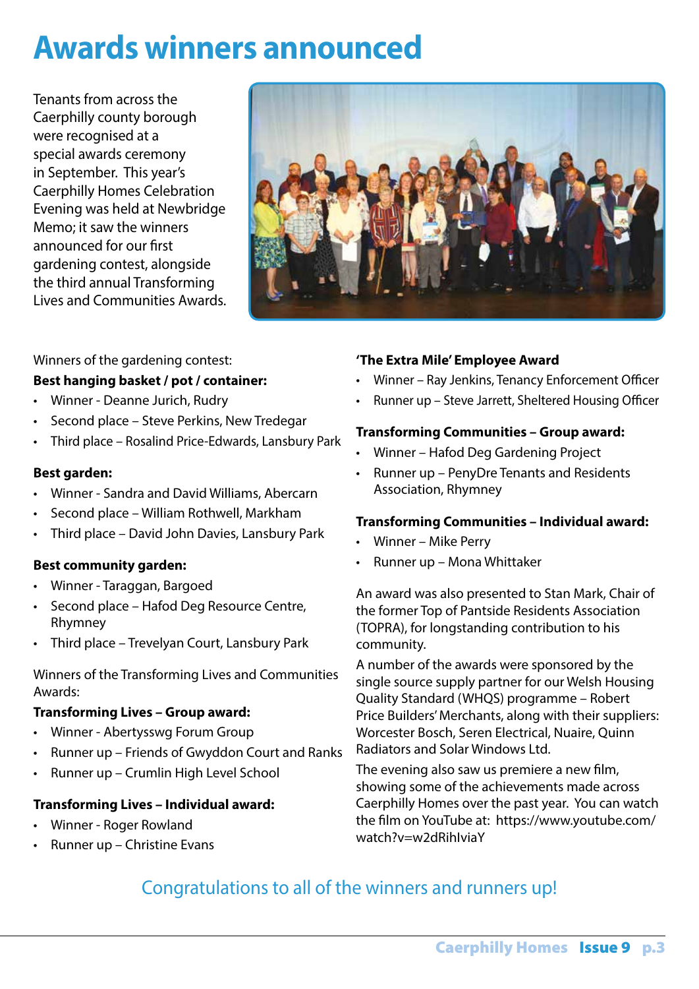## **Awards winners announced**

Tenants from across the Caerphilly county borough were recognised at a special awards ceremony in September. This year's Caerphilly Homes Celebration Evening was held at Newbridge Memo; it saw the winners announced for our first gardening contest, alongside the third annual Transforming Lives and Communities Awards.



Winners of the gardening contest:

### **Best hanging basket / pot / container:**

- Winner Deanne Jurich, Rudry
- Second place Steve Perkins, New Tredegar
- Third place Rosalind Price-Edwards, Lansbury Park

#### **Best garden:**

- Winner Sandra and David Williams, Abercarn
- Second place William Rothwell, Markham
- Third place David John Davies, Lansbury Park

#### **Best community garden:**

- Winner Taraggan, Bargoed
- Second place Hafod Deg Resource Centre, Rhymney
- Third place Trevelyan Court, Lansbury Park

Winners of the Transforming Lives and Communities Awards:

#### **Transforming Lives – Group award:**

- Winner Abertysswg Forum Group
- Runner up Friends of Gwyddon Court and Ranks
- Runner up Crumlin High Level School

#### **Transforming Lives – Individual award:**

- Winner Roger Rowland
- Runner up Christine Evans

### **'The Extra Mile' Employee Award**

- Winner Ray Jenkins, Tenancy Enforcement Officer
- Runner up Steve Jarrett, Sheltered Housing Officer

#### **Transforming Communities – Group award:**

- Winner Hafod Deg Gardening Project
- Runner up PenyDre Tenants and Residents Association, Rhymney

#### **Transforming Communities – Individual award:**

- Winner Mike Perry
- Runner up Mona Whittaker

An award was also presented to Stan Mark, Chair of the former Top of Pantside Residents Association (TOPRA), for longstanding contribution to his community.

A number of the awards were sponsored by the single source supply partner for our Welsh Housing Quality Standard (WHQS) programme – Robert Price Builders' Merchants, along with their suppliers: Worcester Bosch, Seren Electrical, Nuaire, Quinn Radiators and Solar Windows Ltd.

The evening also saw us premiere a new film, showing some of the achievements made across Caerphilly Homes over the past year. You can watch the film on YouTube at: https://www.youtube.com/ watch?v=w2dRihIviaY

## Congratulations to all of the winners and runners up!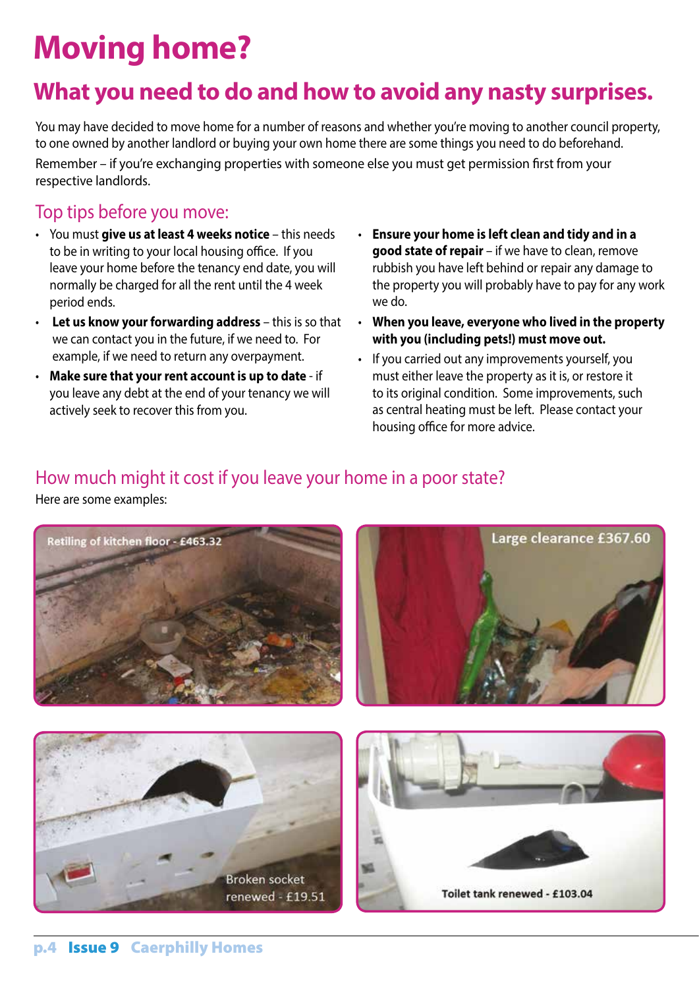# **Moving home?**

## **What you need to do and how to avoid any nasty surprises.**

You may have decided to move home for a number of reasons and whether you're moving to another council property, to one owned by another landlord or buying your own home there are some things you need to do beforehand. Remember – if you're exchanging properties with someone else you must get permission first from your respective landlords.

### Top tips before you move:

- You must **give us at least 4 weeks notice** this needs to be in writing to your local housing office. If you leave your home before the tenancy end date, you will normally be charged for all the rent until the 4 week period ends.
- **Let us know your forwarding address** this is so that we can contact you in the future, if we need to. For example, if we need to return any overpayment.
- **Make sure that your rent account is up to date** if you leave any debt at the end of your tenancy we will actively seek to recover this from you.
- **Ensure your home is left clean and tidy and in a good state of repair** – if we have to clean, remove rubbish you have left behind or repair any damage to the property you will probably have to pay for any work we do.
- **When you leave, everyone who lived in the property with you (including pets!) must move out.**
- If you carried out any improvements yourself, you must either leave the property as it is, or restore it to its original condition. Some improvements, such as central heating must be left. Please contact your housing office for more advice.

### How much might it cost if you leave your home in a poor state?

Here are some examples:

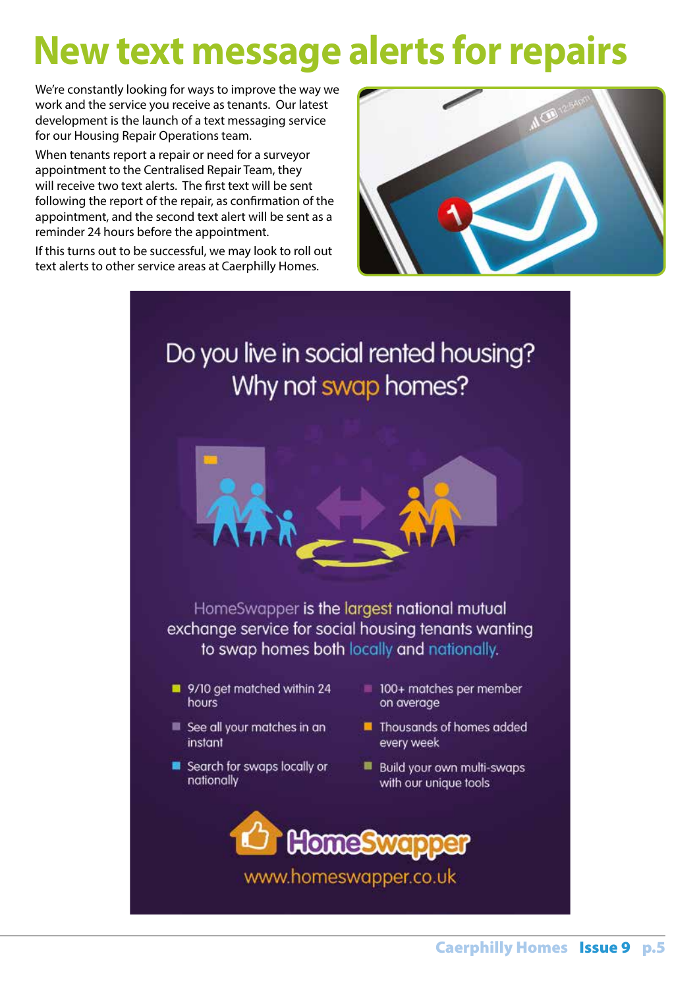# **New text message alerts for repairs**

We're constantly looking for ways to improve the way we work and the service you receive as tenants. Our latest development is the launch of a text messaging service for our Housing Repair Operations team.

When tenants report a repair or need for a surveyor appointment to the Centralised Repair Team, they will receive two text alerts. The first text will be sent following the report of the repair, as confirmation of the appointment, and the second text alert will be sent as a reminder 24 hours before the appointment.

If this turns out to be successful, we may look to roll out text alerts to other service areas at Caerphilly Homes.



## Do you live in social rented housing? Why not swap homes?



HomeSwapper is the largest national mutual exchange service for social housing tenants wanting to swap homes both locally and nationally.

- 9/10 get matched within 24 hours
- See all your matches in an instant
- Search for swaps locally or nationally
- 100+ matches per member on average
- Thousands of homes added every week
- Build your own multi-swaps with our unique tools

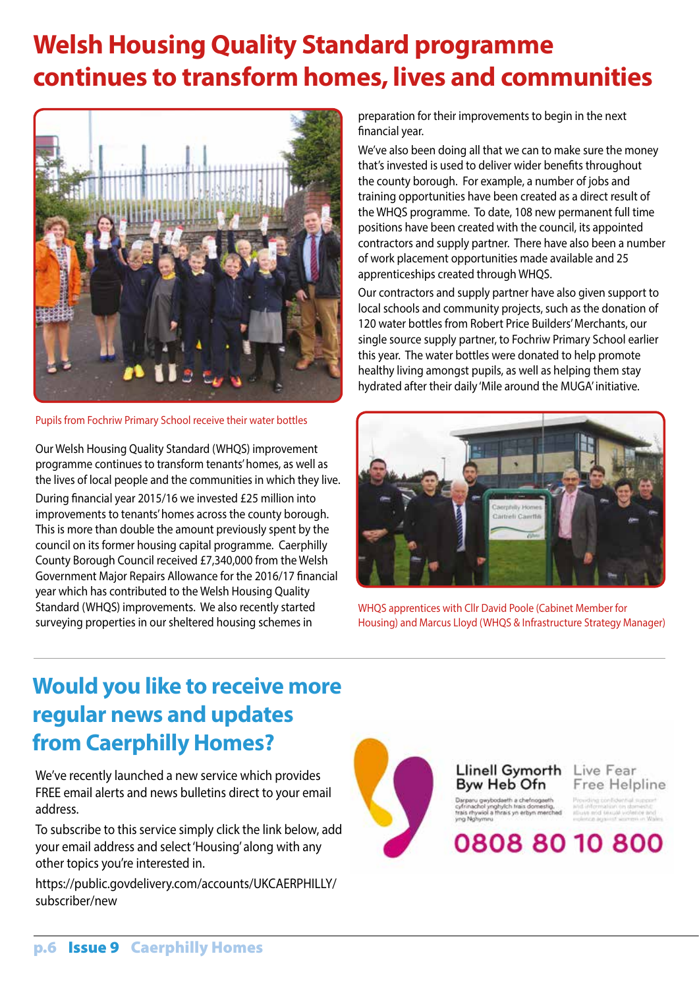## **Welsh Housing Quality Standard programme continues to transform homes, lives and communities**



Pupils from Fochriw Primary School receive their water bottles

Our Welsh Housing Quality Standard (WHQS) improvement programme continues to transform tenants' homes, as well as the lives of local people and the communities in which they live. During financial year 2015/16 we invested £25 million into improvements to tenants' homes across the county borough. This is more than double the amount previously spent by the council on its former housing capital programme. Caerphilly County Borough Council received £7,340,000 from the Welsh Government Major Repairs Allowance for the 2016/17 financial year which has contributed to the Welsh Housing Quality Standard (WHQS) improvements. We also recently started surveying properties in our sheltered housing schemes in

preparation for their improvements to begin in the next financial year.

We've also been doing all that we can to make sure the money that's invested is used to deliver wider benefits throughout the county borough. For example, a number of jobs and training opportunities have been created as a direct result of the WHQS programme. To date, 108 new permanent full time positions have been created with the council, its appointed contractors and supply partner. There have also been a number of work placement opportunities made available and 25 apprenticeships created through WHQS.

Our contractors and supply partner have also given support to local schools and community projects, such as the donation of 120 water bottles from Robert Price Builders' Merchants, our single source supply partner, to Fochriw Primary School earlier this year. The water bottles were donated to help promote healthy living amongst pupils, as well as helping them stay hydrated after their daily 'Mile around the MUGA' initiative.



WHQS apprentices with Cllr David Poole (Cabinet Member for Housing) and Marcus Lloyd (WHQS & Infrastructure Strategy Manager)

## **Would you like to receive more regular news and updates from Caerphilly Homes?**

We've recently launched a new service which provides FREE email alerts and news bulletins direct to your email address.

To subscribe to this service simply click the link below, add your email address and select 'Housing' along with any other topics you're interested in.

https://public.govdelivery.com/accounts/UKCAERPHILLY/ subscriber/new



### Llinell Gymorth Byw Heb Ofn

Live Fear Free Helpline

0808 80 10 800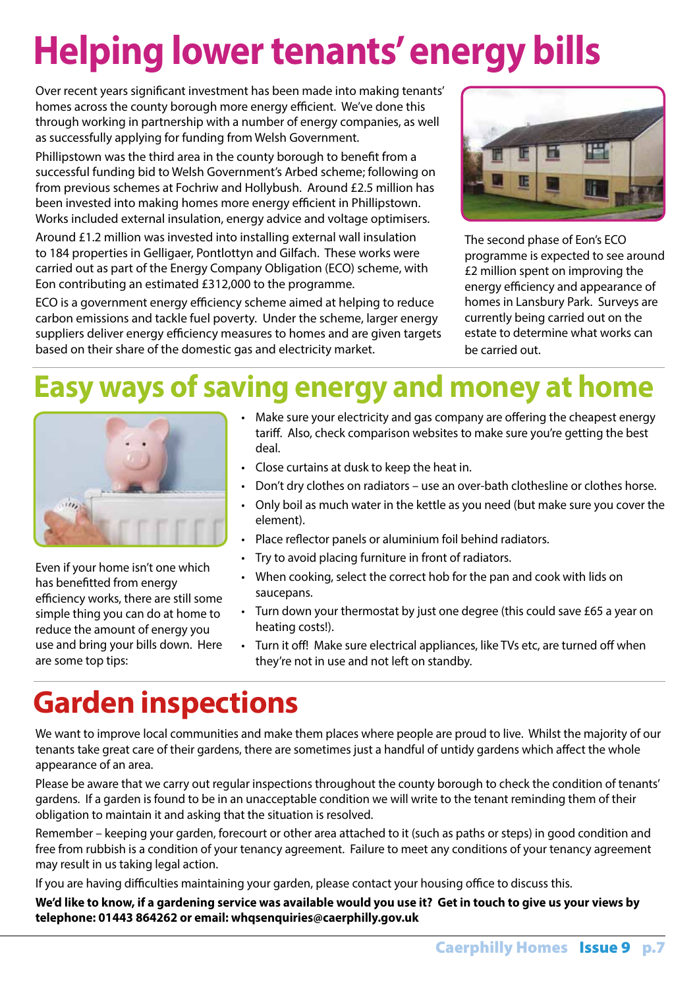# **Helping lower tenants' energy bills**

Over recent years significant investment has been made into making tenants' homes across the county borough more energy efficient. We've done this through working in partnership with a number of energy companies, as well as successfully applying for funding from Welsh Government.

Phillipstown was the third area in the county borough to benefit from a successful funding bid to Welsh Government's Arbed scheme; following on from previous schemes at Fochriw and Hollybush. Around £2.5 million has been invested into making homes more energy efficient in Phillipstown. Works included external insulation, energy advice and voltage optimisers.

Around £1.2 million was invested into installing external wall insulation to 184 properties in Gelligaer, Pontlottyn and Gilfach. These works were carried out as part of the Energy Company Obligation (ECO) scheme, with Eon contributing an estimated £312,000 to the programme.

ECO is a government energy efficiency scheme aimed at helping to reduce carbon emissions and tackle fuel poverty. Under the scheme, larger energy suppliers deliver energy efficiency measures to homes and are given targets based on their share of the domestic gas and electricity market.



The second phase of Eon's ECO programme is expected to see around £2 million spent on improving the energy efficiency and appearance of homes in Lansbury Park. Surveys are currently being carried out on the estate to determine what works can be carried out.

## **Easy ways of saving energy and money at home**



Even if your home isn't one which has benefitted from energy efficiency works, there are still some simple thing you can do at home to reduce the amount of energy you use and bring your bills down. Here are some top tips:

- Make sure your electricity and gas company are offering the cheapest energy tariff. Also, check comparison websites to make sure you're getting the best deal.
- Close curtains at dusk to keep the heat in.
- Don't dry clothes on radiators use an over-bath clothesline or clothes horse.
- Only boil as much water in the kettle as you need (but make sure you cover the element).
- Place reflector panels or aluminium foil behind radiators.
- Try to avoid placing furniture in front of radiators.
- When cooking, select the correct hob for the pan and cook with lids on saucepans.
- Turn down your thermostat by just one degree (this could save £65 a year on heating costs!).
- Turn it off! Make sure electrical appliances, like TVs etc, are turned off when they're not in use and not left on standby.

## **Garden inspections**

We want to improve local communities and make them places where people are proud to live. Whilst the majority of our tenants take great care of their gardens, there are sometimes just a handful of untidy gardens which affect the whole appearance of an area.

Please be aware that we carry out regular inspections throughout the county borough to check the condition of tenants' gardens. If a garden is found to be in an unacceptable condition we will write to the tenant reminding them of their obligation to maintain it and asking that the situation is resolved.

Remember – keeping your garden, forecourt or other area attached to it (such as paths or steps) in good condition and free from rubbish is a condition of your tenancy agreement. Failure to meet any conditions of your tenancy agreement may result in us taking legal action.

If you are having difficulties maintaining your garden, please contact your housing office to discuss this.

**We'd like to know, if a gardening service was available would you use it? Get in touch to give us your views by telephone: 01443 864262 or email: whqsenquiries@caerphilly.gov.uk**